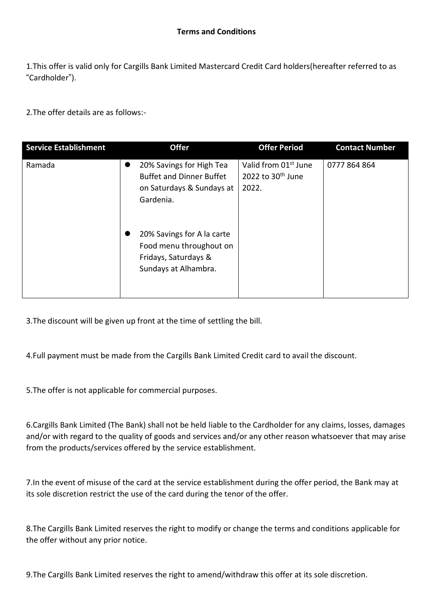1.This offer is valid only for Cargills Bank Limited Mastercard Credit Card holders(hereafter referred to as "Cardholder").

2.The offer details are as follows:-

| <b>Service Establishment</b> | <b>Offer</b>                                                                                                                                                                     | <b>Offer Period</b>                                              | <b>Contact Number</b> |
|------------------------------|----------------------------------------------------------------------------------------------------------------------------------------------------------------------------------|------------------------------------------------------------------|-----------------------|
| Ramada                       | 20% Savings for High Tea<br>$\bullet$<br><b>Buffet and Dinner Buffet</b><br>on Saturdays & Sundays at<br>Gardenia.<br>20% Savings for A la carte<br>●<br>Food menu throughout on | Valid from 01 <sup>st</sup> June<br>2022 to $30th$ June<br>2022. | 0777 864 864          |
|                              | Fridays, Saturdays &<br>Sundays at Alhambra.                                                                                                                                     |                                                                  |                       |

3.The discount will be given up front at the time of settling the bill.

4.Full payment must be made from the Cargills Bank Limited Credit card to avail the discount.

5.The offer is not applicable for commercial purposes.

6.Cargills Bank Limited (The Bank) shall not be held liable to the Cardholder for any claims, losses, damages and/or with regard to the quality of goods and services and/or any other reason whatsoever that may arise from the products/services offered by the service establishment.

7.In the event of misuse of the card at the service establishment during the offer period, the Bank may at its sole discretion restrict the use of the card during the tenor of the offer.

8.The Cargills Bank Limited reserves the right to modify or change the terms and conditions applicable for the offer without any prior notice.

9.The Cargills Bank Limited reserves the right to amend/withdraw this offer at its sole discretion.